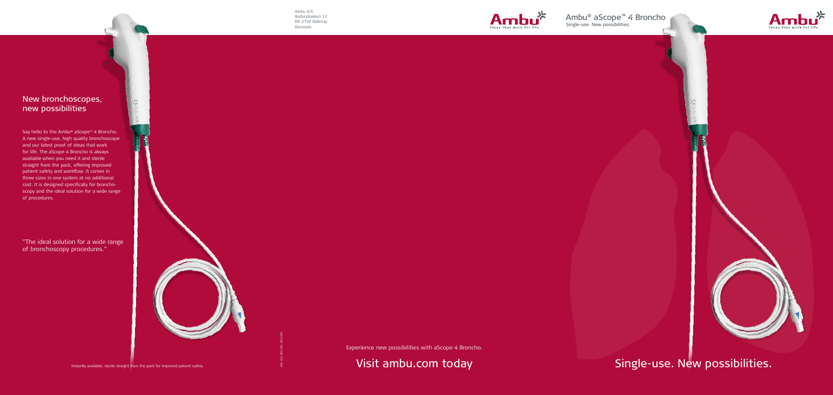





Single-use. New possibilities.

## New bronchoscopes, new possibilities

Say hello to the Ambu<sup>®</sup> aScope<sup>™</sup> 4 Broncho. A new single-use, high quality bronchoscope and our latest proof of ideas that work for life. The aScope 4 Broncho is always available when you need it and sterile straight from the pack, offering improved patient safety and workflow. It comes in three sizes in one system at no additional cost. It is designed specifically for bronchoscopy and the ideal solution for a wide range of procedures.

Experience new possibilities with aScope 4 Broncho.

Instantly available, sterile straight from the pack for improved patient safety.  $\frac{1}{8}$ 



Ambu A/S Baltorpbakken 13 DK-2750 Ballerup Denmark

"The ideal solution for a wide range of bronchoscopy procedures."

496 361 001 V01 2017/09